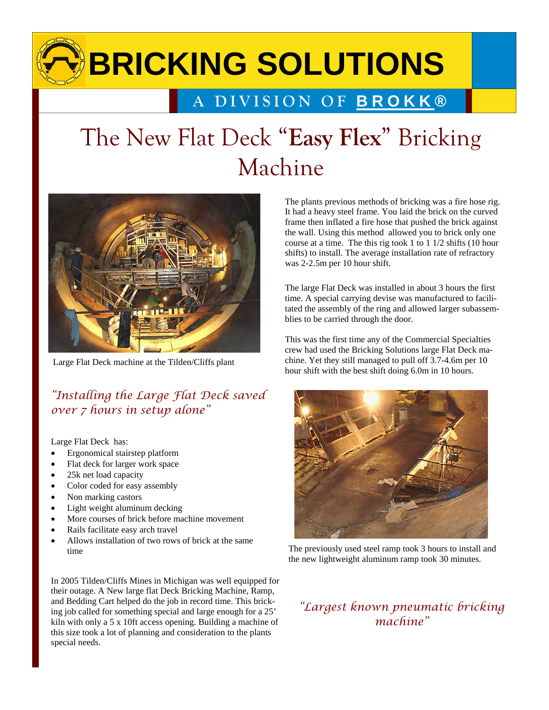# **BRICKING SOLUTIONS**

### **A DIVISION OF BROKK ®**

## The New Flat Deck "**Easy Flex**" Bricking Machine



Large Flat Deck machine at the Tilden/Cliffs plant

#### *"Installing the Large Flat Deck saved over 7 hours in setup alone"*

Large Flat Deck has:

- Ergonomical stairstep platform
- Flat deck for larger work space
- 25k net load capacity
- Color coded for easy assembly
- Non marking castors
- Light weight aluminum decking
- More courses of brick before machine movement
- Rails facilitate easy arch travel
- Allows installation of two rows of brick at the same time

In 2005 Tilden/Cliffs Mines in Michigan was well equipped for their outage. A New large flat Deck Bricking Machine, Ramp, and Bedding Cart helped do the job in record time. This bricking job called for something special and large enough for a 25' kiln with only a 5 x 10ft access opening. Building a machine of this size took a lot of planning and consideration to the plants special needs.

The plants previous methods of bricking was a fire hose rig. It had a heavy steel frame. You laid the brick on the curved frame then inflated a fire hose that pushed the brick against the wall. Using this method allowed you to brick only one course at a time. The this rig took 1 to 1 1/2 shifts (10 hour shifts) to install. The average installation rate of refractory was 2-2.5m per 10 hour shift.

The large Flat Deck was installed in about 3 hours the first time. A special carrying devise was manufactured to facilitated the assembly of the ring and allowed larger subassemblies to be carried through the door.

This was the first time any of the Commercial Specialties crew had used the Bricking Solutions large Flat Deck machine. Yet they still managed to pull off 3.7-4.6m per 10 hour shift with the best shift doing 6.0m in 10 hours.



The previously used steel ramp took 3 hours to install and the new lightweight aluminum ramp took 30 minutes.

#### *"Largest known pneumatic bricking machine"*